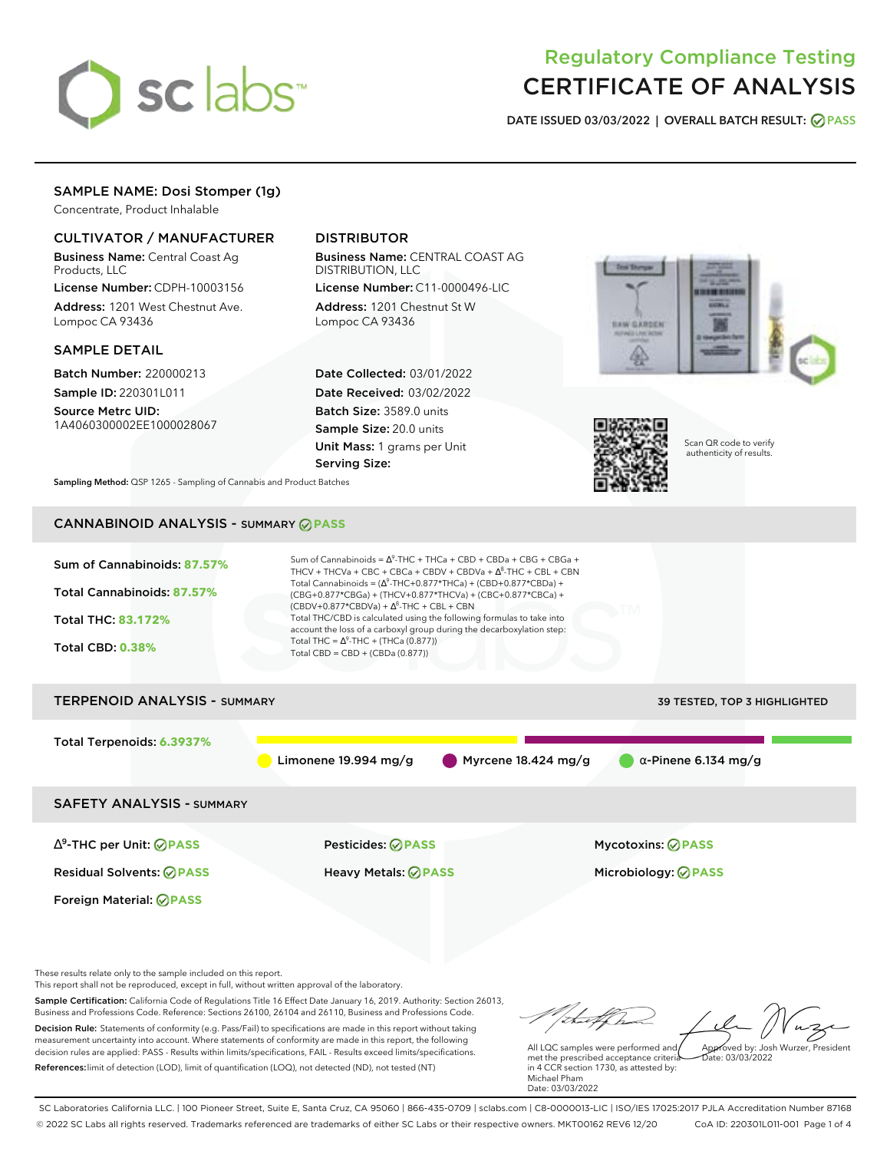

# Regulatory Compliance Testing CERTIFICATE OF ANALYSIS

**DATE ISSUED 03/03/2022 | OVERALL BATCH RESULT: PASS**

# SAMPLE NAME: Dosi Stomper (1g)

Concentrate, Product Inhalable

### CULTIVATOR / MANUFACTURER

Business Name: Central Coast Ag Products, LLC

License Number: CDPH-10003156 Address: 1201 West Chestnut Ave. Lompoc CA 93436

### SAMPLE DETAIL

Batch Number: 220000213 Sample ID: 220301L011

Source Metrc UID: 1A4060300002EE1000028067

# DISTRIBUTOR

Business Name: CENTRAL COAST AG DISTRIBUTION, LLC

License Number: C11-0000496-LIC Address: 1201 Chestnut St W Lompoc CA 93436

Date Collected: 03/01/2022 Date Received: 03/02/2022 Batch Size: 3589.0 units Sample Size: 20.0 units Unit Mass: 1 grams per Unit Serving Size:





Scan QR code to verify authenticity of results.

**Sampling Method:** QSP 1265 - Sampling of Cannabis and Product Batches

# CANNABINOID ANALYSIS - SUMMARY **PASS**



Sample Certification: California Code of Regulations Title 16 Effect Date January 16, 2019. Authority: Section 26013, Business and Professions Code. Reference: Sections 26100, 26104 and 26110, Business and Professions Code. Decision Rule: Statements of conformity (e.g. Pass/Fail) to specifications are made in this report without taking

measurement uncertainty into account. Where statements of conformity are made in this report, the following decision rules are applied: PASS - Results within limits/specifications, FAIL - Results exceed limits/specifications. References:limit of detection (LOD), limit of quantification (LOQ), not detected (ND), not tested (NT)

All LQC samples were performed and met the prescribed acceptance criteria in 4 CCR section 1730, as attested by: Michael Pham Approved by: Josh Wurzer, President  $\frac{1}{2}$ ate: 03/03/2022

Date: 03/03/2022

SC Laboratories California LLC. | 100 Pioneer Street, Suite E, Santa Cruz, CA 95060 | 866-435-0709 | sclabs.com | C8-0000013-LIC | ISO/IES 17025:2017 PJLA Accreditation Number 87168 © 2022 SC Labs all rights reserved. Trademarks referenced are trademarks of either SC Labs or their respective owners. MKT00162 REV6 12/20 CoA ID: 220301L011-001 Page 1 of 4